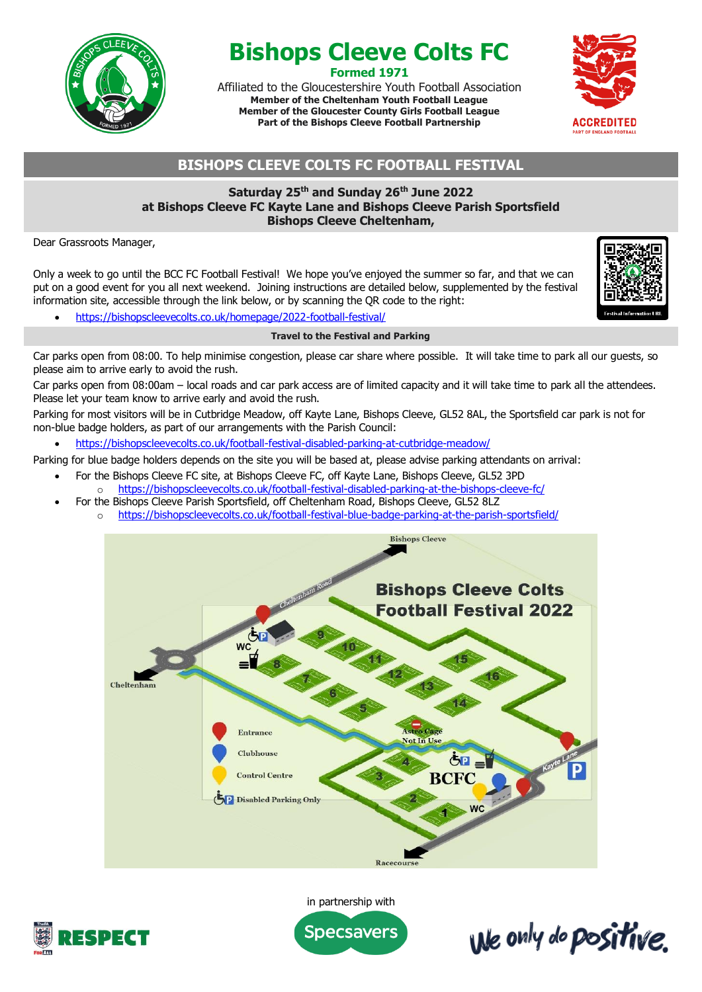

# **Bishops Cleeve Colts FC Formed 1971**

Affiliated to the Gloucestershire Youth Football Association **Member of the Cheltenham Youth Football League Member of the Gloucester County Girls Football League Part of the Bishops Cleeve Football Partnership**



# **BISHOPS CLEEVE COLTS FC FOOTBALL FESTIVAL**

# **Saturday 25th and Sunday 26th June 2022 at Bishops Cleeve FC Kayte Lane and Bishops Cleeve Parish Sportsfield Bishops Cleeve Cheltenham,**

Dear Grassroots Manager,

Only a week to go until the BCC FC Football Festival! We hope you've enjoyed the summer so far, and that we can put on a good event for you all next weekend. Joining instructions are detailed below, supplemented by the festival information site, accessible through the link below, or by scanning the QR code to the right:

We only do positive.

• https://bishopscleevecolts.co.uk/homepage/2022-football-festival/

## **Travel to the Festival and Parking**

Car parks open from 08:00. To help minimise congestion, please car share where possible. It will take time to park all our guests, so please aim to arrive early to avoid the rush.

Car parks open from 08:00am – local roads and car park access are of limited capacity and it will take time to park all the attendees. Please let your team know to arrive early and avoid the rush.

Parking for most visitors will be in Cutbridge Meadow, off Kayte Lane, Bishops Cleeve, GL52 8AL, the Sportsfield car park is not for non-blue badge holders, as part of our arrangements with the Parish Council:

• https://bishopscleevecolts.co.uk/football-festival-disabled-parking-at-cutbridge-meadow/

Parking for blue badge holders depends on the site you will be based at, please advise parking attendants on arrival:

- For the Bishops Cleeve FC site, at Bishops Cleeve FC, off Kayte Lane, Bishops Cleeve, GL52 3PD o https://bishopscleevecolts.co.uk/football-festival-disabled-parking-at-the-bishops-cleeve-fc/
- For the Bishops Cleeve Parish Sportsfield, off Cheltenham Road, Bishops Cleeve, GL52 8LZ
	- o https://bishopscleevecolts.co.uk/football-festival-blue-badge-parking-at-the-parish-sportsfield/





in partnership with